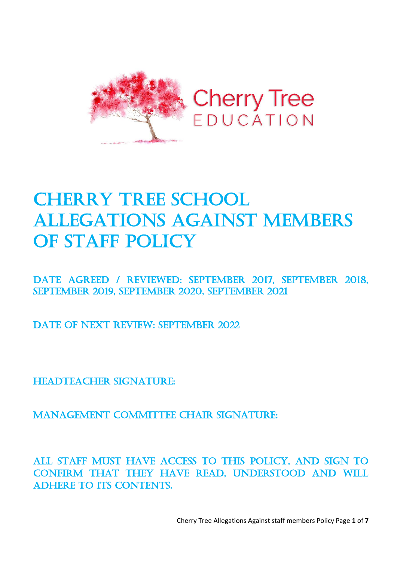

# **CHERRY TREE SCHOOL** ALLEGATIONS AGAINST MEMBERS OF STAFF POLICY

Date Agreed / REVIEWED: September 2017, September 2018, September 2019, September 2020, September 2021

DATE OF NEXT REVIEW: SEPTEMBER 2022

HEADTEACHER SIGNATURE:

Management Committee Chair signature:

All staff must have access to this policy, and sign to confirm that they have read, understood and will adhere to its contents.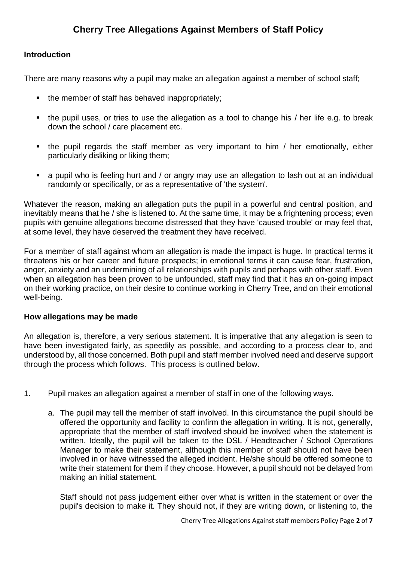## **Cherry Tree Allegations Against Members of Staff Policy**

## **Introduction**

There are many reasons why a pupil may make an allegation against a member of school staff;

- the member of staff has behaved inappropriately;
- the pupil uses, or tries to use the allegation as a tool to change his / her life e.g. to break down the school / care placement etc.
- the pupil regards the staff member as very important to him / her emotionally, either particularly disliking or liking them;
- a pupil who is feeling hurt and / or angry may use an allegation to lash out at an individual randomly or specifically, or as a representative of 'the system'.

Whatever the reason, making an allegation puts the pupil in a powerful and central position, and inevitably means that he / she is listened to. At the same time, it may be a frightening process; even pupils with genuine allegations become distressed that they have 'caused trouble' or may feel that, at some level, they have deserved the treatment they have received.

For a member of staff against whom an allegation is made the impact is huge. In practical terms it threatens his or her career and future prospects; in emotional terms it can cause fear, frustration, anger, anxiety and an undermining of all relationships with pupils and perhaps with other staff. Even when an allegation has been proven to be unfounded, staff may find that it has an on-going impact on their working practice, on their desire to continue working in Cherry Tree, and on their emotional well-being.

## **How allegations may be made**

An allegation is, therefore, a very serious statement. It is imperative that any allegation is seen to have been investigated fairly, as speedily as possible, and according to a process clear to, and understood by, all those concerned. Both pupil and staff member involved need and deserve support through the process which follows. This process is outlined below.

- 1. Pupil makes an allegation against a member of staff in one of the following ways.
	- a. The pupil may tell the member of staff involved. In this circumstance the pupil should be offered the opportunity and facility to confirm the allegation in writing. It is not, generally, appropriate that the member of staff involved should be involved when the statement is written. Ideally, the pupil will be taken to the DSL / Headteacher / School Operations Manager to make their statement, although this member of staff should not have been involved in or have witnessed the alleged incident. He/she should be offered someone to write their statement for them if they choose. However, a pupil should not be delayed from making an initial statement.

Staff should not pass judgement either over what is written in the statement or over the pupil's decision to make it. They should not, if they are writing down, or listening to, the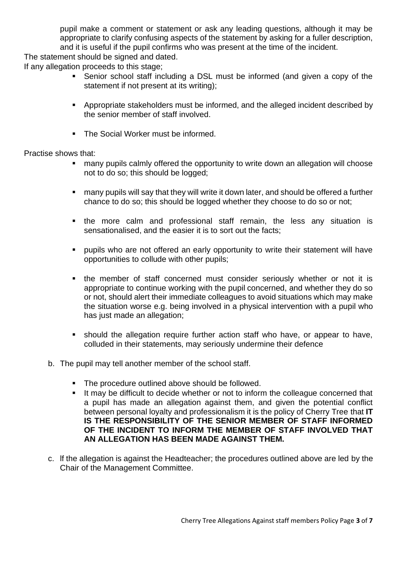pupil make a comment or statement or ask any leading questions, although it may be appropriate to clarify confusing aspects of the statement by asking for a fuller description, and it is useful if the pupil confirms who was present at the time of the incident.

The statement should be signed and dated.

If any allegation proceeds to this stage;

- Senior school staff including a DSL must be informed (and given a copy of the statement if not present at its writing);
- Appropriate stakeholders must be informed, and the alleged incident described by the senior member of staff involved.
- The Social Worker must be informed.

## Practise shows that:

- many pupils calmly offered the opportunity to write down an allegation will choose not to do so; this should be logged;
- many pupils will say that they will write it down later, and should be offered a further chance to do so; this should be logged whether they choose to do so or not;
- the more calm and professional staff remain, the less any situation is sensationalised, and the easier it is to sort out the facts;
- **•** pupils who are not offered an early opportunity to write their statement will have opportunities to collude with other pupils;
- the member of staff concerned must consider seriously whether or not it is appropriate to continue working with the pupil concerned, and whether they do so or not, should alert their immediate colleagues to avoid situations which may make the situation worse e.g. being involved in a physical intervention with a pupil who has just made an allegation;
- should the allegation require further action staff who have, or appear to have, colluded in their statements, may seriously undermine their defence
- b. The pupil may tell another member of the school staff.
	- The procedure outlined above should be followed.
	- It may be difficult to decide whether or not to inform the colleague concerned that a pupil has made an allegation against them, and given the potential conflict between personal loyalty and professionalism it is the policy of Cherry Tree that **IT IS THE RESPONSIBILITY OF THE SENIOR MEMBER OF STAFF INFORMED OF THE INCIDENT TO INFORM THE MEMBER OF STAFF INVOLVED THAT AN ALLEGATION HAS BEEN MADE AGAINST THEM.**
- c. lf the allegation is against the Headteacher; the procedures outlined above are led by the Chair of the Management Committee.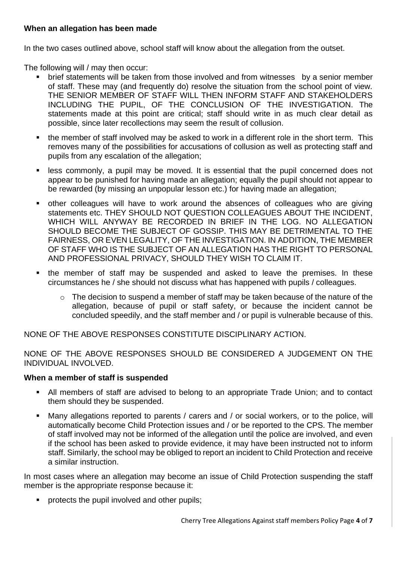## **When an allegation has been made**

In the two cases outlined above, school staff will know about the allegation from the outset.

The following will / may then occur:

- brief statements will be taken from those involved and from witnesses by a senior member of staff. These may (and frequently do) resolve the situation from the school point of view. THE SENIOR MEMBER OF STAFF WILL THEN INFORM STAFF AND STAKEHOLDERS INCLUDING THE PUPIL, OF THE CONCLUSION OF THE INVESTIGATION. The statements made at this point are critical; staff should write in as much clear detail as possible, since later recollections may seem the result of collusion.
- the member of staff involved may be asked to work in a different role in the short term. This removes many of the possibilities for accusations of collusion as well as protecting staff and pupils from any escalation of the allegation;
- less commonly, a pupil may be moved. It is essential that the pupil concerned does not appear to be punished for having made an allegation; equally the pupil should not appear to be rewarded (by missing an unpopular lesson etc.) for having made an allegation;
- other colleagues will have to work around the absences of colleagues who are giving statements etc. THEY SHOULD NOT QUESTION COLLEAGUES ABOUT THE INCIDENT, WHICH WILL ANYWAY BE RECORDED IN BRIEF IN THE LOG. NO ALLEGATION SHOULD BECOME THE SUBJECT OF GOSSIP. THIS MAY BE DETRIMENTAL TO THE FAIRNESS, OR EVEN LEGALITY, OF THE INVESTIGATION. IN ADDITION, THE MEMBER OF STAFF WHO IS THE SUBJECT OF AN ALLEGATION HAS THE RIGHT TO PERSONAL AND PROFESSIONAL PRIVACY, SHOULD THEY WISH TO CLAIM IT.
- the member of staff may be suspended and asked to leave the premises. In these circumstances he / she should not discuss what has happened with pupils / colleagues.
	- o The decision to suspend a member of staff may be taken because of the nature of the allegation, because of pupil or staff safety, or because the incident cannot be concluded speedily, and the staff member and / or pupil is vulnerable because of this.

NONE OF THE ABOVE RESPONSES CONSTITUTE DISCIPLINARY ACTION.

NONE OF THE ABOVE RESPONSES SHOULD BE CONSIDERED A JUDGEMENT ON THE INDIVIDUAL INVOLVED.

## **When a member of staff is suspended**

- All members of staff are advised to belong to an appropriate Trade Union; and to contact them should they be suspended.
- Many allegations reported to parents / carers and / or social workers, or to the police, will automatically become Child Protection issues and / or be reported to the CPS. The member of staff involved may not be informed of the allegation until the police are involved, and even if the school has been asked to provide evidence, it may have been instructed not to inform staff. Similarly, the school may be obliged to report an incident to Child Protection and receive a similar instruction.

In most cases where an allegation may become an issue of Child Protection suspending the staff member is the appropriate response because it:

■ protects the pupil involved and other pupils;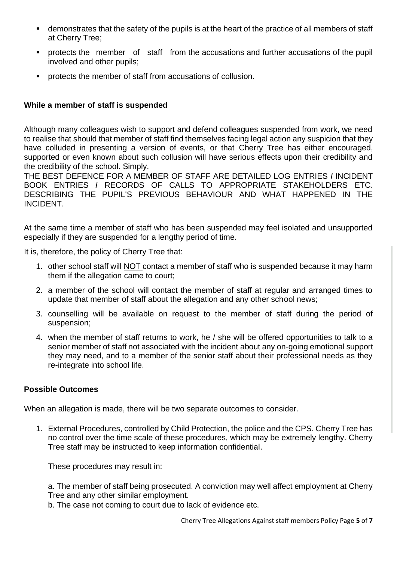- **EXEDENT** demonstrates that the safety of the pupils is at the heart of the practice of all members of staff at Cherry Tree;
- **•** protects the member of staff from the accusations and further accusations of the pupil involved and other pupils;
- protects the member of staff from accusations of collusion.

## **While a member of staff is suspended**

Although many colleagues wish to support and defend colleagues suspended from work, we need to realise that should that member of staff find themselves facing legal action any suspicion that they have colluded in presenting a version of events, or that Cherry Tree has either encouraged, supported or even known about such collusion will have serious effects upon their credibility and the credibility of the school. Simply,

THE BEST DEFENCE FOR A MEMBER OF STAFF ARE DETAILED LOG ENTRIES *I* INCIDENT BOOK ENTRIES *I* RECORDS OF CALLS TO APPROPRIATE STAKEHOLDERS ETC. DESCRIBING THE PUPIL'S PREVIOUS BEHAVIOUR AND WHAT HAPPENED IN THE INCIDENT.

At the same time a member of staff who has been suspended may feel isolated and unsupported especially if they are suspended for a lengthy period of time.

It is, therefore, the policy of Cherry Tree that:

- 1. other school staff will NOT contact a member of staff who is suspended because it may harm them if the allegation came to court;
- 2. a member of the school will contact the member of staff at regular and arranged times to update that member of staff about the allegation and any other school news;
- 3. counselling will be available on request to the member of staff during the period of suspension;
- 4. when the member of staff returns to work, he / she will be offered opportunities to talk to a senior member of staff not associated with the incident about any on-going emotional support they may need, and to a member of the senior staff about their professional needs as they re-integrate into school life.

## **Possible Outcomes**

When an allegation is made, there will be two separate outcomes to consider.

1. External Procedures, controlled by Child Protection, the police and the CPS. Cherry Tree has no control over the time scale of these procedures, which may be extremely lengthy. Cherry Tree staff may be instructed to keep information confidential.

These procedures may result in:

a. The member of staff being prosecuted. A conviction may well affect employment at Cherry Tree and any other similar employment.

b. The case not coming to court due to lack of evidence etc.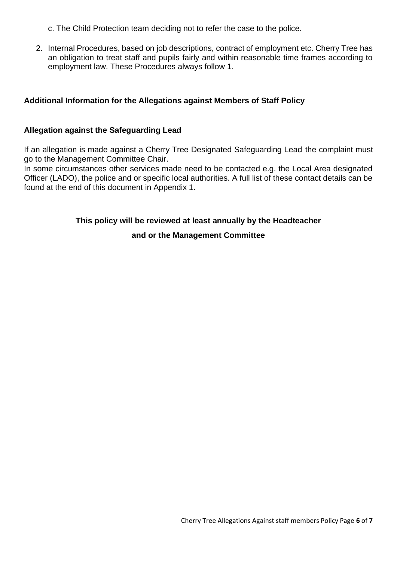c. The Child Protection team deciding not to refer the case to the police.

2. Internal Procedures, based on job descriptions, contract of employment etc. Cherry Tree has an obligation to treat staff and pupils fairly and within reasonable time frames according to employment law. These Procedures always follow 1.

## **Additional Information for the Allegations against Members of Staff Policy**

## **Allegation against the Safeguarding Lead**

If an allegation is made against a Cherry Tree Designated Safeguarding Lead the complaint must go to the Management Committee Chair.

In some circumstances other services made need to be contacted e.g. the Local Area designated Officer (LADO), the police and or specific local authorities. A full list of these contact details can be found at the end of this document in Appendix 1.

## **This policy will be reviewed at least annually by the Headteacher**

## **and or the Management Committee**